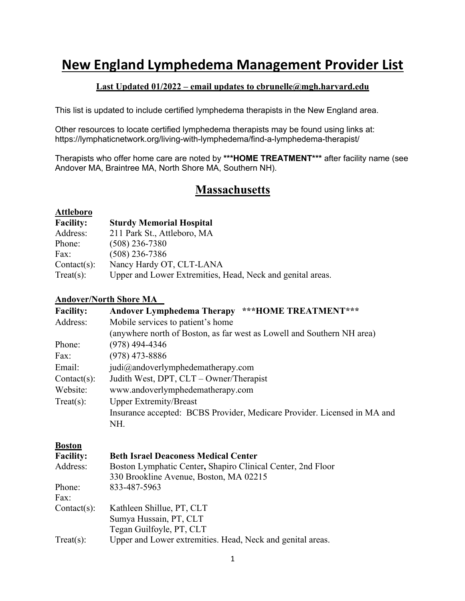## **New England Lymphedema Management Provider List**

#### **Last Updated 01/2022 – email updates to cbrunelle@mgh.harvard.edu**

This list is updated to include certified lymphedema therapists in the New England area.

Other resources to locate certified lymphedema therapists may be found using links at: https://lymphaticnetwork.org/living-with-lymphedema/find-a-lymphedema-therapist/

Therapists who offer home care are noted by **\*\*\*HOME TREATMENT\*\*\*** after facility name (see Andover MA, Braintree MA, North Shore MA, Southern NH).

## **Massachusetts**

#### **Attleboro**

| <b>Facility:</b> | <b>Sturdy Memorial Hospital</b>                            |
|------------------|------------------------------------------------------------|
| Address:         | 211 Park St., Attleboro, MA                                |
| Phone:           | $(508)$ 236-7380                                           |
| Fax:             | $(508)$ 236-7386                                           |
| $Context(s)$ :   | Nancy Hardy OT, CLT-LANA                                   |
| Treat(s):        | Upper and Lower Extremities, Head, Neck and genital areas. |

#### **Andover/North Shore MA**

| <b>Facility:</b> | Andover Lymphedema Therapy ***HOME TREATMENT***                          |
|------------------|--------------------------------------------------------------------------|
| Address:         | Mobile services to patient's home                                        |
|                  | (anywhere north of Boston, as far west as Lowell and Southern NH area)   |
| Phone:           | $(978)$ 494-4346                                                         |
| Fax:             | $(978)$ 473-8886                                                         |
| Email:           | judi@andoverlymphedematherapy.com                                        |
| $Context(s)$ :   | Judith West, DPT, CLT – Owner/Therapist                                  |
| Website:         | www.andoverlymphedematherapy.com                                         |
| Treat(s):        | <b>Upper Extremity/Breast</b>                                            |
|                  | Insurance accepted: BCBS Provider, Medicare Provider. Licensed in MA and |
|                  | NH.                                                                      |
| <b>Boston</b>    |                                                                          |
| <b>Facility:</b> | <b>Beth Israel Deaconess Medical Center</b>                              |
| Address:         | Boston Lymphatic Center, Shapiro Clinical Center, 2nd Floor              |
|                  | 330 Brookline Avenue, Boston, MA 02215                                   |
| Phone:           | 833-487-5963                                                             |
| Fax:             |                                                                          |
| $Context(s)$ :   | Kathleen Shillue, PT, CLT                                                |
|                  | Sumya Hussain, PT, CLT                                                   |
|                  | Tegan Guilfoyle, PT, CLT                                                 |

Treat(s): Upper and Lower extremities. Head, Neck and genital areas.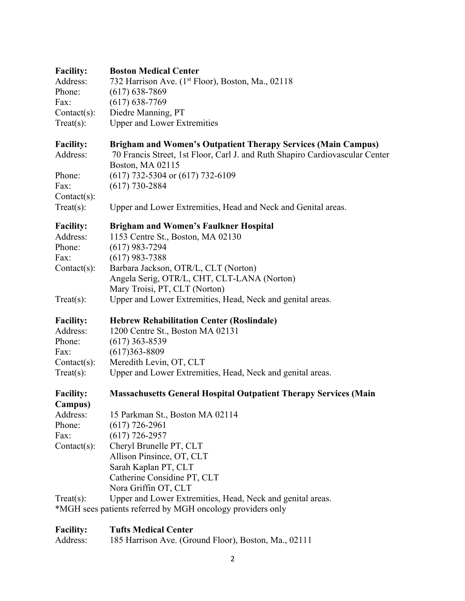| <b>Facility:</b>                       | <b>Boston Medical Center</b>                                                                                                                                             |
|----------------------------------------|--------------------------------------------------------------------------------------------------------------------------------------------------------------------------|
| Address:                               | 732 Harrison Ave. (1 <sup>st</sup> Floor), Boston, Ma., 02118                                                                                                            |
| Phone:                                 | $(617) 638 - 7869$                                                                                                                                                       |
| Fax:                                   | $(617) 638 - 7769$                                                                                                                                                       |
| Contact(s):                            | Diedre Manning, PT                                                                                                                                                       |
| $Treat(s)$ :                           | <b>Upper and Lower Extremities</b>                                                                                                                                       |
| <b>Facility:</b><br>Address:           | <b>Brigham and Women's Outpatient Therapy Services (Main Campus)</b><br>70 Francis Street, 1st Floor, Carl J. and Ruth Shapiro Cardiovascular Center<br>Boston, MA 02115 |
| Phone:                                 | $(617)$ 732-5304 or $(617)$ 732-6109                                                                                                                                     |
| Fax:                                   | $(617)$ 730-2884                                                                                                                                                         |
| $Context(s)$ :                         |                                                                                                                                                                          |
| $Treat(s)$ :                           | Upper and Lower Extremities, Head and Neck and Genital areas.                                                                                                            |
| <b>Facility:</b><br>Address:<br>Phone: | <b>Brigham and Women's Faulkner Hospital</b><br>1153 Centre St., Boston, MA 02130<br>$(617)$ 983-7294                                                                    |
| Fax:                                   | $(617)$ 983-7388                                                                                                                                                         |
| $Context(s)$ :                         | Barbara Jackson, OTR/L, CLT (Norton)                                                                                                                                     |
|                                        | Angela Serig, OTR/L, CHT, CLT-LANA (Norton)                                                                                                                              |
|                                        | Mary Troisi, PT, CLT (Norton)                                                                                                                                            |
| $Treat(s)$ :                           | Upper and Lower Extremities, Head, Neck and genital areas.                                                                                                               |
| <b>Facility:</b>                       | <b>Hebrew Rehabilitation Center (Roslindale)</b>                                                                                                                         |
| Address:                               | 1200 Centre St., Boston MA 02131                                                                                                                                         |
| Phone:                                 | $(617)$ 363-8539                                                                                                                                                         |
| Fax:                                   | $(617)363 - 8809$                                                                                                                                                        |
| $Context(s)$ :                         | Meredith Levin, OT, CLT                                                                                                                                                  |
| $Treat(s)$ :                           | Upper and Lower Extremities, Head, Neck and genital areas.                                                                                                               |
| <b>Facility:</b><br>Campus)            | <b>Massachusetts General Hospital Outpatient Therapy Services (Main</b>                                                                                                  |
| Address:                               | 15 Parkman St., Boston MA 02114                                                                                                                                          |
| Phone:                                 | $(617)$ 726-2961                                                                                                                                                         |
| Fax:                                   | $(617)$ 726-2957                                                                                                                                                         |
| $Context(s)$ :                         | Cheryl Brunelle PT, CLT                                                                                                                                                  |
|                                        | Allison Pinsince, OT, CLT                                                                                                                                                |
|                                        | Sarah Kaplan PT, CLT                                                                                                                                                     |
|                                        | Catherine Considine PT, CLT                                                                                                                                              |
|                                        | Nora Griffin OT, CLT                                                                                                                                                     |
| $Treat(s)$ :                           | Upper and Lower Extremities, Head, Neck and genital areas.                                                                                                               |
|                                        | *MGH sees patients referred by MGH oncology providers only                                                                                                               |
|                                        |                                                                                                                                                                          |

# **Facility: Tufts Medical Center**<br>Address: 185 Harrison Ave. (Grow)

185 Harrison Ave. (Ground Floor), Boston, Ma., 02111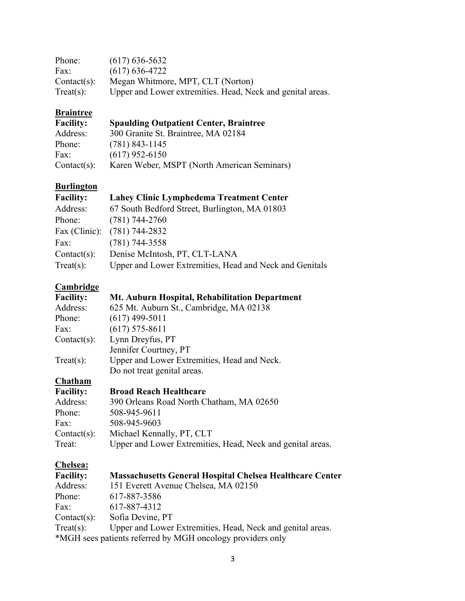| Phone:         | $(617)$ 636-5632                                           |
|----------------|------------------------------------------------------------|
| Fax:           | $(617)$ 636-4722                                           |
| $Context(s)$ : | Megan Whitmore, MPT, CLT (Norton)                          |
| Treat(s):      | Upper and Lower extremities. Head, Neck and genital areas. |

# **Braintree**<br>**Facility:**

| <b>Facility:</b> | <b>Spaulding Outpatient Center, Braintree</b> |  |
|------------------|-----------------------------------------------|--|
| Address:         | 300 Granite St. Braintree, MA 02184           |  |

| Phone:         | $(781)$ 843-1145                            |
|----------------|---------------------------------------------|
| Fax:           | $(617)$ 952-6150                            |
| $Context(s)$ : | Karen Weber, MSPT (North American Seminars) |

## **Burlington**

| <b>Facility:</b> | <b>Lahey Clinic Lymphedema Treatment Center</b>         |
|------------------|---------------------------------------------------------|
| Address:         | 67 South Bedford Street, Burlington, MA 01803           |
| Phone:           | $(781)$ 744-2760                                        |
|                  | Fax (Clinic): (781) 744-2832                            |
| Fax:             | $(781)$ 744-3558                                        |
| $Context(s)$ :   | Denise McIntosh, PT, CLT-LANA                           |
| Treat(s):        | Upper and Lower Extremities, Head and Neck and Genitals |

## **Cambridge**

| <b>Facility:</b> | Mt. Auburn Hospital, Rehabilitation Department                  |
|------------------|-----------------------------------------------------------------|
| Address:         | 625 Mt. Auburn St., Cambridge, MA 02138                         |
| Phone:           | $(617)$ 499-5011                                                |
| Fax:             | $(617)$ 575-8611                                                |
| $Context(s)$ :   | Lynn Dreyfus, PT                                                |
|                  | Jennifer Courtney, PT                                           |
| $Treat(s)$ :     | Upper and Lower Extremities, Head and Neck.                     |
|                  | Do not treat genital areas.                                     |
| <b>Chatham</b>   |                                                                 |
| <b>Facility:</b> | <b>Broad Reach Healthcare</b>                                   |
| Address:         | 390 Orleans Road North Chatham, MA 02650                        |
| Phone:           | 508-945-9611                                                    |
| Fax:             | 508-945-9603                                                    |
| $Context(s)$ :   | Michael Kennally, PT, CLT                                       |
| Treat:           | Upper and Lower Extremities, Head, Neck and genital areas.      |
| Chelsea:         |                                                                 |
| <b>Facility:</b> | <b>Massachusetts General Hospital Chelsea Healthcare Center</b> |
| Address:         | 151 Everett Avenue Chelsea, MA 02150                            |

| <b>Facility:</b>                                           | <b>Massachusetts General Hospital Chelsea Healthcare Center</b> |  |
|------------------------------------------------------------|-----------------------------------------------------------------|--|
| Address:                                                   | 151 Everett Avenue Chelsea, MA 02150                            |  |
| Phone:                                                     | 617-887-3586                                                    |  |
| Fax:                                                       | 617-887-4312                                                    |  |
| $Context(s)$ :                                             | Sofia Devine, PT                                                |  |
| Treat(s):                                                  | Upper and Lower Extremities, Head, Neck and genital areas.      |  |
| *MGH sees patients referred by MGH oncology providers only |                                                                 |  |
|                                                            |                                                                 |  |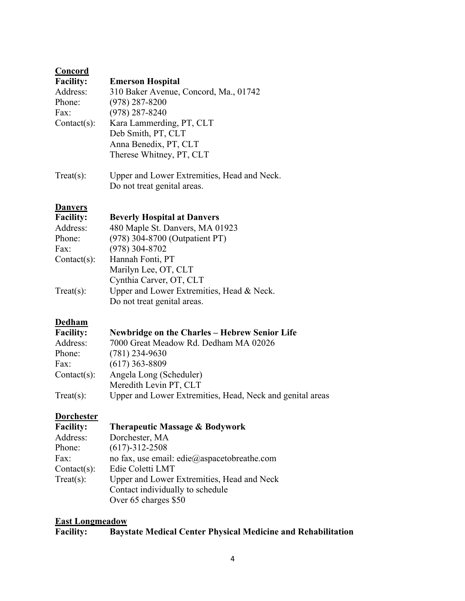| Concord          |                                             |
|------------------|---------------------------------------------|
| <b>Facility:</b> | <b>Emerson Hospital</b>                     |
| Address:         | 310 Baker Avenue, Concord, Ma., 01742       |
| Phone:           | $(978)$ 287-8200                            |
| Fax:             | $(978)$ 287-8240                            |
| $Context(s)$ :   | Kara Lammerding, PT, CLT                    |
|                  | Deb Smith, PT, CLT                          |
|                  | Anna Benedix, PT, CLT                       |
|                  | Therese Whitney, PT, CLT                    |
| $Treat(s)$ :     | Upper and Lower Extremities, Head and Neck. |
|                  | Do not treat genital areas.                 |

#### **Danvers**

| <b>Facility:</b> | <b>Beverly Hospital at Danvers</b>        |
|------------------|-------------------------------------------|
| Address:         | 480 Maple St. Danvers, MA 01923           |
| Phone:           | (978) 304-8700 (Outpatient PT)            |
| Fax:             | $(978)$ 304-8702                          |
| $Context(s)$ :   | Hannah Fonti, PT                          |
|                  | Marilyn Lee, OT, CLT                      |
|                  | Cynthia Carver, OT, CLT                   |
| $Treat(s)$ :     | Upper and Lower Extremities, Head & Neck. |
|                  | Do not treat genital areas.               |

#### **Dedham**

| <b>Facility:</b> | Newbridge on the Charles – Hebrew Senior Life             |
|------------------|-----------------------------------------------------------|
| Address:         | 7000 Great Meadow Rd. Dedham MA 02026                     |
| Phone:           | $(781)$ 234-9630                                          |
| Fax:             | $(617)$ 363-8809                                          |
| $Context(s)$ :   | Angela Long (Scheduler)                                   |
|                  | Meredith Levin PT, CLT                                    |
| Treat(s):        | Upper and Lower Extremities, Head, Neck and genital areas |

#### **Dorchester**

| <b>Facility:</b> | <b>Therapeutic Massage &amp; Bodywork</b>   |
|------------------|---------------------------------------------|
| Address:         | Dorchester, MA                              |
| Phone:           | $(617) - 312 - 2508$                        |
| Fax:             | no fax, use email: edie@aspacetobreathe.com |
| $Context(s)$ :   | Edie Coletti LMT                            |
| Treat(s):        | Upper and Lower Extremities, Head and Neck  |
|                  | Contact individually to schedule            |
|                  | Over 65 charges \$50                        |

#### **East Longmeadow**<br>**Facility: Bayst Facility: Baystate Medical Center Physical Medicine and Rehabilitation**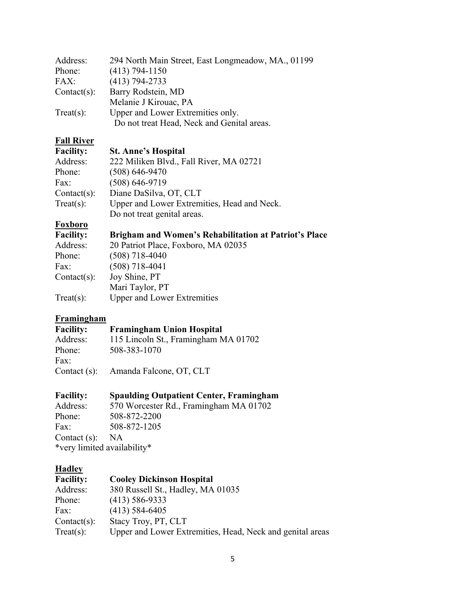| Address:       | 294 North Main Street, East Longmeadow, MA., 01199 |
|----------------|----------------------------------------------------|
| Phone:         | $(413)$ 794-1150                                   |
| FAX:           | $(413) 794 - 2733$                                 |
| $Context(s)$ : | Barry Rodstein, MD                                 |
|                | Melanie J Kirouac, PA                              |
| Treat(s):      | Upper and Lower Extremities only.                  |
|                | Do not treat Head, Neck and Genital areas.         |

#### **Fall River Facility: S**

| t. Anne's Hospital |  |  |  |
|--------------------|--|--|--|
|--------------------|--|--|--|

| Address:       | 222 Miliken Blvd., Fall River, MA 02721     |
|----------------|---------------------------------------------|
| Phone:         | $(508) 646 - 9470$                          |
| Fax:           | $(508) 646 - 9719$                          |
| $Context(s)$ : | Diane DaSilva, OT, CLT                      |
| Treat(s):      | Upper and Lower Extremities, Head and Neck. |
|                | Do not treat genital areas.                 |

#### **Foxboro**

| <b>Facility:</b> | <b>Brigham and Women's Rehabilitation at Patriot's Place</b> |
|------------------|--------------------------------------------------------------|
| Address:         | 20 Patriot Place, Foxboro, MA 02035                          |
| Phone:           | $(508)$ 718-4040                                             |
| Fax:             | $(508)$ 718-4041                                             |
| $Context(s)$ :   | Joy Shine, PT                                                |
|                  | Mari Taylor, PT                                              |
| Treat(s):        | <b>Upper and Lower Extremities</b>                           |

#### **Framingham**

#### **Facility: Framingham Union Hospital**

Address: 115 Lincoln St., Framingham MA 01702 Phone: 508-383-1070 Fax:

Contact (s): Amanda Falcone, OT, CLT

## Facility: Spaulding Outpatient Center, Framingham<br>Address: 570 Worcester Rd., Framingham MA 01702

570 Worcester Rd., Framingham MA 01702 Phone: 508-872-2200<br>Fax: 508-872-1205 Fax: 508-872-1205 Contact (s): NA \*very limited availability\*

## **Hadley**<br>Facility:

#### **Facility: Cooley Dickinson Hospital**

| Address:       | 380 Russell St., Hadley, MA 01035                         |
|----------------|-----------------------------------------------------------|
|                |                                                           |
| Phone:         | $(413)$ 586-9333                                          |
| Fax:           | $(413)$ 584-6405                                          |
| $Context(s)$ : | Stacy Troy, PT, CLT                                       |
| Treat(s):      | Upper and Lower Extremities, Head, Neck and genital areas |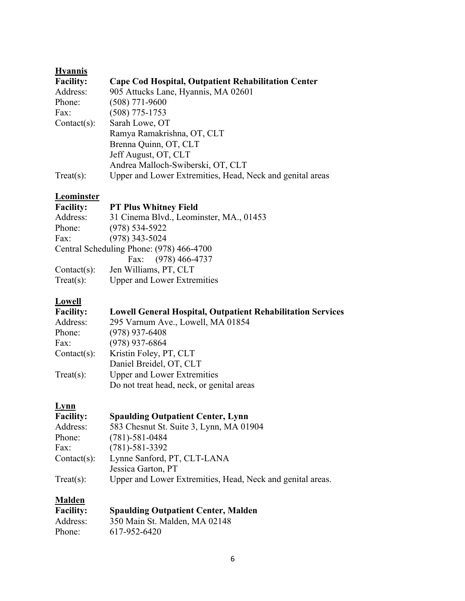| <b>Hyannis</b>   |                                                           |
|------------------|-----------------------------------------------------------|
| <b>Facility:</b> | Cape Cod Hospital, Outpatient Rehabilitation Center       |
| Address:         | 905 Attucks Lane, Hyannis, MA 02601                       |
| Phone:           | $(508)$ 771-9600                                          |
| Fax:             | $(508)$ 775-1753                                          |
| $Context(s)$ :   | Sarah Lowe, OT                                            |
|                  | Ramya Ramakrishna, OT, CLT                                |
|                  | Brenna Quinn, OT, CLT                                     |
|                  | Jeff August, OT, CLT                                      |
|                  | Andrea Malloch-Swiberski, OT, CLT                         |
| $Treat(s)$ :     | Upper and Lower Extremities, Head, Neck and genital areas |
|                  |                                                           |

#### **Leominster**

| <b>Facility:</b> | <b>PT Plus Whitney Field</b>             |
|------------------|------------------------------------------|
| Address:         | 31 Cinema Blvd., Leominster, MA., 01453  |
| Phone:           | $(978) 534 - 5922$                       |
| Fax:             | $(978)$ 343-5024                         |
|                  | Central Scheduling Phone: (978) 466-4700 |
|                  | Fax: (978) 466-4737                      |
| $Context(s)$ :   | Jen Williams, PT, CLT                    |
| Treat(s):        | <b>Upper and Lower Extremities</b>       |

### **Lowell**

| <b>Facility:</b> | <b>Lowell General Hospital, Outpatient Rehabilitation Services</b> |
|------------------|--------------------------------------------------------------------|
| Address:         | 295 Varnum Ave., Lowell, MA 01854                                  |
| Phone:           | $(978)$ 937-6408                                                   |
| Fax:             | $(978)$ 937-6864                                                   |
| $Context(s)$ :   | Kristin Foley, PT, CLT                                             |
|                  | Daniel Breidel, OT, CLT                                            |
| Treat(s):        | <b>Upper and Lower Extremities</b>                                 |
|                  | Do not treat head, neck, or genital areas                          |

### **Lynn**

| <b>Facility:</b> | <b>Spaulding Outpatient Center, Lynn</b>                   |
|------------------|------------------------------------------------------------|
| Address:         | 583 Chesnut St. Suite 3, Lynn, MA 01904                    |
| Phone:           | $(781) - 581 - 0484$                                       |
| Fax:             | $(781) - 581 - 3392$                                       |
| $Context(s)$ :   | Lynne Sanford, PT, CLT-LANA                                |
|                  | Jessica Garton, PT                                         |
| Treat(s):        | Upper and Lower Extremities, Head, Neck and genital areas. |

#### **Malden**

| <b>Facility:</b> | <b>Spaulding Outpatient Center, Malden</b> |
|------------------|--------------------------------------------|
| Address:         | 350 Main St. Malden, MA 02148              |
| Phone:           | 617-952-6420                               |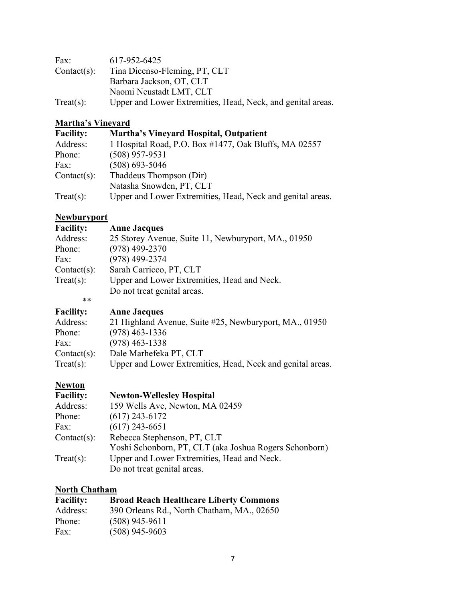| Fax:           | 617-952-6425                                                |
|----------------|-------------------------------------------------------------|
| $Context(s)$ : | Tina Dicenso-Fleming, PT, CLT                               |
|                | Barbara Jackson, OT, CLT                                    |
|                | Naomi Neustadt LMT, CLT                                     |
| Treat(s):      | Upper and Lower Extremities, Head, Neck, and genital areas. |

## **Martha's Vineyard**

| <b>Facility:</b> | <b>Martha's Vinevard Hospital, Outpatient</b>              |
|------------------|------------------------------------------------------------|
| Address:         | 1 Hospital Road, P.O. Box #1477, Oak Bluffs, MA 02557      |
| Phone:           | $(508)$ 957-9531                                           |
| Fax:             | $(508)$ 693-5046                                           |
| $Context(s)$ :   | Thaddeus Thompson (Dir)                                    |
|                  | Natasha Snowden, PT, CLT                                   |
| Treat(s):        | Upper and Lower Extremities, Head, Neck and genital areas. |

#### **Newburyport**

| <b>Anne Jacques</b>                                 |
|-----------------------------------------------------|
| 25 Storey Avenue, Suite 11, Newburyport, MA., 01950 |
| $(978)$ 499-2370                                    |
| $(978)$ 499-2374                                    |
| Sarah Carricco, PT, CLT                             |
| Upper and Lower Extremities, Head and Neck.         |
| Do not treat genital areas.                         |
|                                                     |
|                                                     |

| <b>Facility:</b> | <b>Anne Jacques</b>                                        |
|------------------|------------------------------------------------------------|
| Address:         | 21 Highland Avenue, Suite #25, Newburyport, MA., 01950     |
| Phone:           | $(978)$ 463-1336                                           |
| Fax:             | $(978)$ 463-1338                                           |
| $Context(s)$ :   | Dale Marhefeka PT, CLT                                     |
| Treat(s):        | Upper and Lower Extremities, Head, Neck and genital areas. |

#### **Newton**

| <b>Facility:</b> | <b>Newton-Wellesley Hospital</b>                       |
|------------------|--------------------------------------------------------|
| Address:         | 159 Wells Ave, Newton, MA 02459                        |
| Phone:           | $(617)$ 243-6172                                       |
| Fax:             | $(617)$ 243-6651                                       |
| $Context(s)$ :   | Rebecca Stephenson, PT, CLT                            |
|                  | Yoshi Schonborn, PT, CLT (aka Joshua Rogers Schonborn) |
| Treat(s):        | Upper and Lower Extremities, Head and Neck.            |
|                  | Do not treat genital areas.                            |

#### **North Chatham**

| <b>Facility:</b> | <b>Broad Reach Healthcare Liberty Commons</b> |
|------------------|-----------------------------------------------|
| Address:         | 390 Orleans Rd., North Chatham, MA., 02650    |
| Phone:           | $(508)$ 945-9611                              |
| Fax:             | $(508)$ 945-9603                              |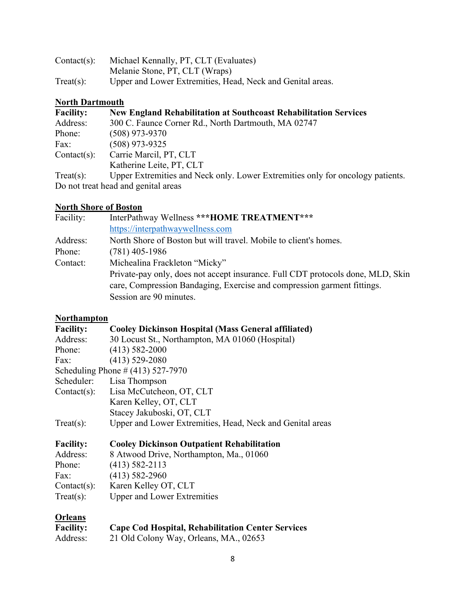| $Context(s)$ : | Michael Kennally, PT, CLT (Evaluates)                      |
|----------------|------------------------------------------------------------|
|                | Melanie Stone, PT, CLT (Wraps)                             |
| Treat(s):      | Upper and Lower Extremities, Head, Neck and Genital areas. |

## **North Dartmouth**

| <b>Facility:</b>                    | <b>New England Rehabilitation at Southcoast Rehabilitation Services</b>        |
|-------------------------------------|--------------------------------------------------------------------------------|
| Address:                            | 300 C. Faunce Corner Rd., North Dartmouth, MA 02747                            |
| Phone:                              | $(508)$ 973-9370                                                               |
| Fax:                                | $(508)$ 973-9325                                                               |
| $Context(s)$ :                      | Carrie Marcil, PT, CLT                                                         |
|                                     | Katherine Leite, PT, CLT                                                       |
| Treat(s):                           | Upper Extremities and Neck only. Lower Extremities only for oncology patients. |
| Do not treat head and genital areas |                                                                                |

#### **North Shore of Boston**

| InterPathway Wellness *** HOME TREATMENT***                                                                                                                                           |
|---------------------------------------------------------------------------------------------------------------------------------------------------------------------------------------|
| https://interpathwaywellness.com                                                                                                                                                      |
| North Shore of Boston but will travel. Mobile to client's homes.                                                                                                                      |
| $(781)$ 405-1986                                                                                                                                                                      |
| Michealina Frackleton "Micky"                                                                                                                                                         |
| Private-pay only, does not accept insurance. Full CDT protocols done, MLD, Skin<br>care, Compression Bandaging, Exercise and compression garment fittings.<br>Session are 90 minutes. |
|                                                                                                                                                                                       |

#### **Northampton**

| <b>Facility:</b>                     | <b>Cooley Dickinson Hospital (Mass General affiliated)</b> |
|--------------------------------------|------------------------------------------------------------|
| Address:                             | 30 Locust St., Northampton, MA 01060 (Hospital)            |
| Phone:                               | $(413) 582 - 2000$                                         |
| Fax:                                 | $(413)$ 529-2080                                           |
| Scheduling Phone $\# (413)$ 527-7970 |                                                            |
| Scheduler:                           | Lisa Thompson                                              |
| $Context(s)$ :                       | Lisa McCutcheon, OT, CLT                                   |
|                                      | Karen Kelley, OT, CLT                                      |
|                                      | Stacey Jakuboski, OT, CLT                                  |
| $Treat(s)$ :                         | Upper and Lower Extremities, Head, Neck and Genital areas  |
| <b>Facility:</b>                     | <b>Cooley Dickinson Outpatient Rehabilitation</b>          |
| Address:                             | 8 Atwood Drive, Northampton, Ma., 01060                    |
| Phone:                               | $(413)$ 582-2113                                           |
| Fax:                                 | $(413)$ 582-2960                                           |
| $Context(s)$ :                       | Karen Kelley OT, CLT                                       |
| $Treat(s)$ :                         | <b>Upper and Lower Extremities</b>                         |
| <b>Orleans</b>                       |                                                            |

| <b>Facility:</b> | <b>Cape Cod Hospital, Rehabilitation Center Services</b> |
|------------------|----------------------------------------------------------|
| Address:         | 21 Old Colony Way, Orleans, MA., 02653                   |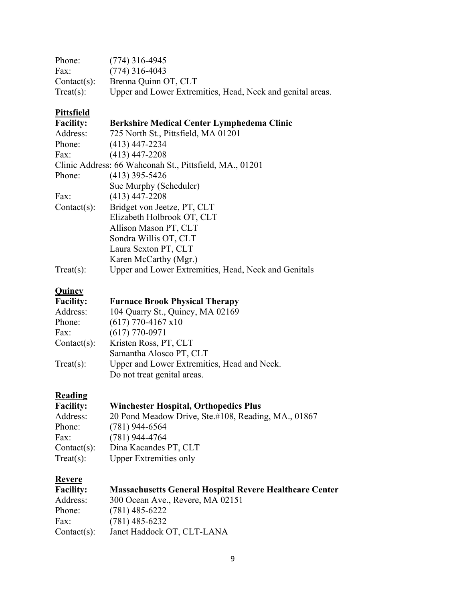| Phone:         | $(774)$ 316-4945                                           |
|----------------|------------------------------------------------------------|
| Fax:           | $(774)$ 316-4043                                           |
| $Context(s)$ : | Brenna Quinn OT, CLT                                       |
| Treat(s):      | Upper and Lower Extremities, Head, Neck and genital areas. |

## **Pittsfield**

| <b>Facility:</b>                                        | Berkshire Medical Center Lymphedema Clinic           |
|---------------------------------------------------------|------------------------------------------------------|
| Address:                                                | 725 North St., Pittsfield, MA 01201                  |
| Phone:                                                  | $(413)$ 447-2234                                     |
| Fax:                                                    | $(413)$ 447-2208                                     |
| Clinic Address: 66 Wahconah St., Pittsfield, MA., 01201 |                                                      |
| Phone:                                                  | $(413)$ 395-5426                                     |
|                                                         | Sue Murphy (Scheduler)                               |
| Fax:                                                    | $(413)$ 447-2208                                     |
| $Context(s)$ :                                          | Bridget von Jeetze, PT, CLT                          |
|                                                         | Elizabeth Holbrook OT, CLT                           |
|                                                         | Allison Mason PT, CLT                                |
|                                                         | Sondra Willis OT, CLT                                |
|                                                         | Laura Sexton PT, CLT                                 |
|                                                         | Karen McCarthy (Mgr.)                                |
| $Treat(s)$ :                                            | Upper and Lower Extremities, Head, Neck and Genitals |

## **Quincy**

| <b>Facility:</b> | <b>Furnace Brook Physical Therapy</b>       |
|------------------|---------------------------------------------|
| Address:         | 104 Quarry St., Quincy, MA 02169            |
| Phone:           | $(617)$ 770-4167 x10                        |
| Fax:             | $(617)$ 770-0971                            |
| $Context(s)$ :   | Kristen Ross, PT, CLT                       |
|                  | Samantha Alosco PT, CLT                     |
| Treat(s):        | Upper and Lower Extremities, Head and Neck. |
|                  | Do not treat genital areas.                 |

### **Reading**

| <b>Facility:</b> | <b>Winchester Hospital, Orthopedics Plus</b>        |
|------------------|-----------------------------------------------------|
| Address:         | 20 Pond Meadow Drive, Ste.#108, Reading, MA., 01867 |
| Phone:           | $(781)$ 944-6564                                    |
| Fax:             | $(781)$ 944-4764                                    |
| $Context(s)$ :   | Dina Kacandes PT, CLT                               |
| Treat(s):        | <b>Upper Extremities only</b>                       |

## **Revere**

| <b>Facility:</b> | <b>Massachusetts General Hospital Revere Healthcare Center</b> |
|------------------|----------------------------------------------------------------|
| Address:         | 300 Ocean Ave., Revere, MA 02151                               |
| Phone:           | $(781)$ 485-6222                                               |
| Fax:             | $(781)$ 485-6232                                               |
| $Context(s)$ :   | Janet Haddock OT, CLT-LANA                                     |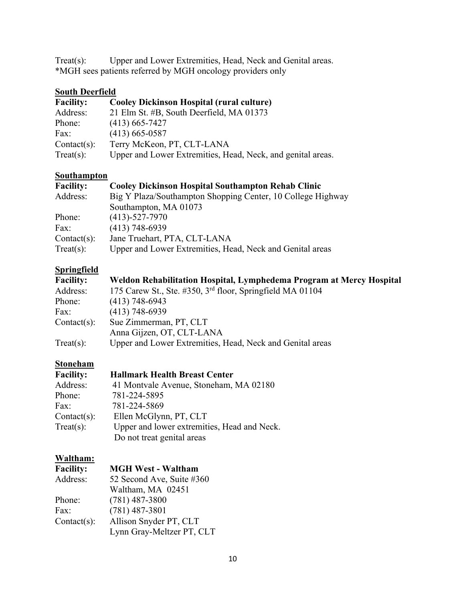Treat(s): Upper and Lower Extremities, Head, Neck and Genital areas. \*MGH sees patients referred by MGH oncology providers only

#### **South Deerfield**

| <b>Facility:</b> | <b>Cooley Dickinson Hospital (rural culture)</b>            |
|------------------|-------------------------------------------------------------|
| Address:         | 21 Elm St. #B, South Deerfield, MA 01373                    |
| Phone:           | $(413)$ 665-7427                                            |
| Fax:             | $(413)$ 665-0587                                            |
| $Context(s)$ :   | Terry McKeon, PT, CLT-LANA                                  |
| Treat(s):        | Upper and Lower Extremities, Head, Neck, and genital areas. |

#### **Southampton**

| <b>Facility:</b> | <b>Cooley Dickinson Hospital Southampton Rehab Clinic</b>   |
|------------------|-------------------------------------------------------------|
| Address:         | Big Y Plaza/Southampton Shopping Center, 10 College Highway |
|                  | Southampton, MA 01073                                       |
| Phone:           | $(413) - 527 - 7970$                                        |
| Fax:             | $(413)$ 748-6939                                            |
| $Context(s)$ :   | Jane Truehart, PTA, CLT-LANA                                |
| Treat(s):        | Upper and Lower Extremities, Head, Neck and Genital areas   |

#### **Springfield**

| <b>Facility:</b> | Weldon Rehabilitation Hospital, Lymphedema Program at Mercy Hospital  |
|------------------|-----------------------------------------------------------------------|
| Address:         | 175 Carew St., Ste. #350, 3 <sup>rd</sup> floor, Springfield MA 01104 |
| Phone:           | $(413)$ 748-6943                                                      |
| Fax:             | $(413)$ 748-6939                                                      |
| $Context(s)$ :   | Sue Zimmerman, PT, CLT                                                |
|                  | Anna Gijzen, OT, CLT-LANA                                             |
| Treat(s):        | Upper and Lower Extremities, Head, Neck and Genital areas             |

#### **Stoneham**

| <b>Facility:</b> | <b>Hallmark Health Breast Center</b>        |
|------------------|---------------------------------------------|
| Address:         | 41 Montvale Avenue, Stoneham, MA 02180      |
| Phone:           | 781-224-5895                                |
| Fax:             | 781-224-5869                                |
| $Context(s)$ :   | Ellen McGlynn, PT, CLT                      |
| Treat(s):        | Upper and lower extremities, Head and Neck. |
|                  | Do not treat genital areas                  |

#### **Waltham:**

| <b>Facility:</b> | <b>MGH West - Waltham</b> |
|------------------|---------------------------|
| Address:         | 52 Second Ave, Suite #360 |
|                  | Waltham, MA 02451         |
| Phone:           | $(781)$ 487-3800          |
| Fax:             | $(781)$ 487-3801          |
| $Context(s)$ :   | Allison Snyder PT, CLT    |
|                  | Lynn Gray-Meltzer PT, CLT |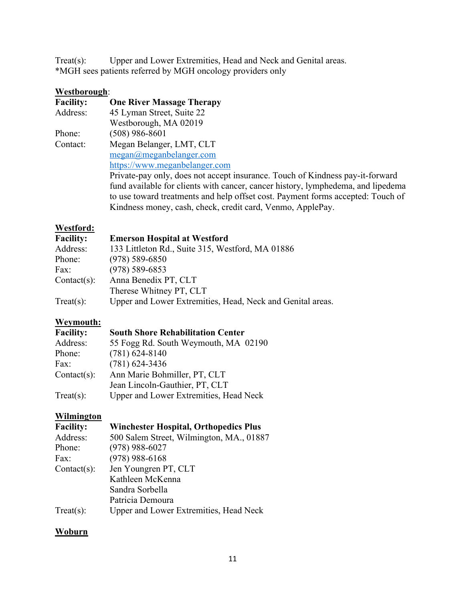Treat(s): Upper and Lower Extremities, Head and Neck and Genital areas. \*MGH sees patients referred by MGH oncology providers only

#### **Westborough**:

| <b>Facility:</b> | <b>One River Massage Therapy</b>                                                 |
|------------------|----------------------------------------------------------------------------------|
| Address:         | 45 Lyman Street, Suite 22                                                        |
|                  | Westborough, MA 02019                                                            |
| Phone:           | (508) 986-8601                                                                   |
| Contact:         | Megan Belanger, LMT, CLT                                                         |
|                  | $megan(\omega)$ meganbelanger.com                                                |
|                  | https://www.meganbelanger.com                                                    |
|                  | Private-pay only, does not accept insurance. Touch of Kindness pay-it-forward    |
|                  | fund available for clients with cancer, cancer history, lymphedema, and lipedema |
|                  | to use toward treatments and help offset cost. Payment forms accepted: Touch of  |
|                  | Kindness money, cash, check, credit card, Venmo, ApplePay.                       |

#### **Westford:**

| <b>Facility:</b> | <b>Emerson Hospital at Westford</b>                        |
|------------------|------------------------------------------------------------|
| Address:         | 133 Littleton Rd., Suite 315, Westford, MA 01886           |
| Phone:           | $(978) 589 - 6850$                                         |
| Fax:             | $(978) 589 - 6853$                                         |
| $Context(s)$ :   | Anna Benedix PT, CLT                                       |
|                  | Therese Whitney PT, CLT                                    |
| Treat(s):        | Upper and Lower Extremities, Head, Neck and Genital areas. |

#### **Weymouth:**

| <b>Facility:</b> | <b>South Shore Rehabilitation Center</b> |
|------------------|------------------------------------------|
| Address:         | 55 Fogg Rd. South Weymouth, MA 02190     |
| Phone:           | $(781)$ 624-8140                         |
| Fax:             | $(781)$ 624-3436                         |
| $Context(s)$ :   | Ann Marie Bohmiller, PT, CLT             |
|                  | Jean Lincoln-Gauthier, PT, CLT           |
| Treat(s):        | Upper and Lower Extremities, Head Neck   |

#### **Wilmington**

| <b>Facility:</b> | <b>Winchester Hospital, Orthopedics Plus</b> |
|------------------|----------------------------------------------|
| Address:         | 500 Salem Street, Wilmington, MA., 01887     |
| Phone:           | $(978)$ 988-6027                             |
| Fax:             | $(978)$ 988-6168                             |
| $Context(s)$ :   | Jen Youngren PT, CLT                         |
|                  | Kathleen McKenna                             |
|                  | Sandra Sorbella                              |
|                  | Patricia Demoura                             |
| $Treat(s)$ :     | Upper and Lower Extremities, Head Neck       |

#### **Woburn**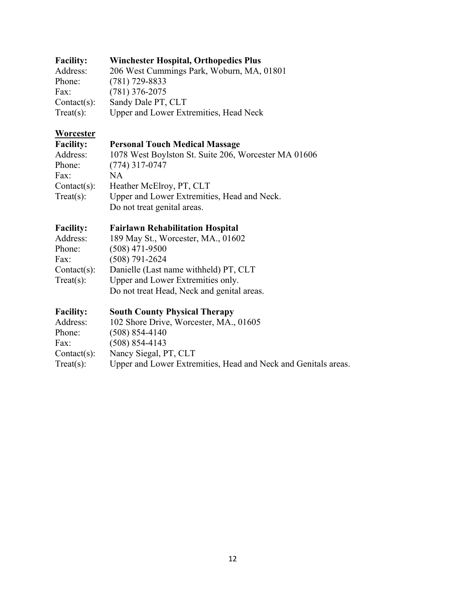#### **Facility: Winchester Hospital, Orthopedics Plus** Address: 206 West Cummings Park, Woburn, MA, 01801 Phone: (781) 729-8833 Fax: (781) 376-2075 Contact(s): Sandy Dale PT, CLT<br>Treat(s): Upper and Lower Ext Upper and Lower Extremities, Head Neck

## **Worcester**<br>Facility:

#### **Facility: Personal Touch Medical Massage**

| Address:       | 1078 West Boylston St. Suite 206, Worcester MA 01606 |
|----------------|------------------------------------------------------|
| Phone:         | $(774)$ 317-0747                                     |
| Fax:           | NА                                                   |
| $Context(s)$ : | Heather McElroy, PT, CLT                             |
| Treat(s):      | Upper and Lower Extremities, Head and Neck.          |
|                | Do not treat genital areas.                          |
|                |                                                      |

#### **Facility: Fairlawn Rehabilitation Hospital**

| Address:       | 189 May St., Worcester, MA., 01602         |
|----------------|--------------------------------------------|
| Phone:         | $(508)$ 471-9500                           |
| Fax:           | $(508) 791 - 2624$                         |
| $Context(s)$ : | Danielle (Last name withheld) PT, CLT      |
| Treat(s):      | Upper and Lower Extremities only.          |
|                | Do not treat Head, Neck and genital areas. |

#### **Facility: South County Physical Therapy**

| 102 Shore Drive, Worcester, MA., 01605                         |
|----------------------------------------------------------------|
| $(508)$ 854-4140                                               |
| $(508)$ 854-4143                                               |
| Nancy Siegal, PT, CLT                                          |
| Upper and Lower Extremities, Head and Neck and Genitals areas. |
|                                                                |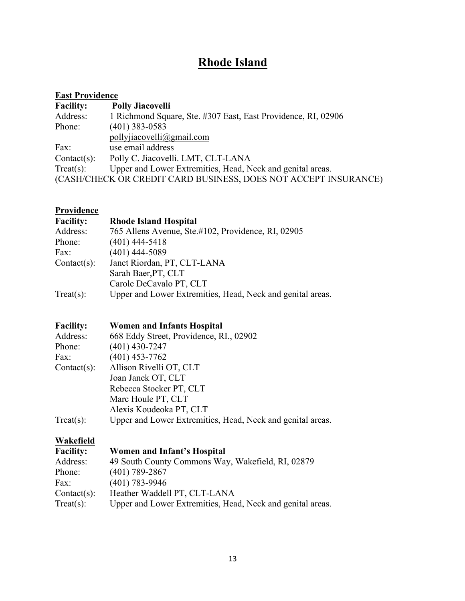## **Rhode Island**

| <b>East Providence</b> |                                                                 |  |
|------------------------|-----------------------------------------------------------------|--|
| <b>Facility:</b>       | <b>Polly Jiacovelli</b>                                         |  |
| Address:               | 1 Richmond Square, Ste. #307 East, East Providence, RI, 02906   |  |
| Phone:                 | $(401)$ 383-0583                                                |  |
|                        | pollyjiacovelli@gmail.com                                       |  |
| Fax:                   | use email address                                               |  |
| $Context(s)$ :         | Polly C. Jiacovelli. LMT, CLT-LANA                              |  |
| Treat(s):              | Upper and Lower Extremities, Head, Neck and genital areas.      |  |
|                        | (CASH/CHECK OR CREDIT CARD BUSINESS, DOES NOT ACCEPT INSURANCE) |  |

## **Providence**

| <b>Facility:</b> | <b>Rhode Island Hospital</b>                               |
|------------------|------------------------------------------------------------|
| Address:         | 765 Allens Avenue, Ste.#102, Providence, RI, 02905         |
| Phone:           | $(401)$ 444-5418                                           |
| Fax:             | $(401)$ 444-5089                                           |
| $Context(s)$ :   | Janet Riordan, PT, CLT-LANA                                |
|                  | Sarah Baer, PT, CLT                                        |
|                  | Carole DeCavalo PT, CLT                                    |
| Treat(s):        | Upper and Lower Extremities, Head, Neck and genital areas. |

#### **Facility: Women and Infants Hospital**

| Address:       | 668 Eddy Street, Providence, RI., 02902                    |  |  |
|----------------|------------------------------------------------------------|--|--|
| Phone:         | $(401)$ 430-7247                                           |  |  |
| Fax:           | $(401)$ 453-7762                                           |  |  |
| $Context(s)$ : | Allison Rivelli OT, CLT                                    |  |  |
|                | Joan Janek OT, CLT                                         |  |  |
|                | Rebecca Stocker PT, CLT                                    |  |  |
|                | Marc Houle PT, CLT                                         |  |  |
|                | Alexis Koudeoka PT, CLT                                    |  |  |
| Treat(s):      | Upper and Lower Extremities, Head, Neck and genital areas. |  |  |
|                |                                                            |  |  |

#### **Wakefield**

| <b>Facility:</b> | <b>Women and Infant's Hospital</b>                         |
|------------------|------------------------------------------------------------|
| Address:         | 49 South County Commons Way, Wakefield, RI, 02879          |
| Phone:           | $(401)$ 789-2867                                           |
| Fax:             | $(401)$ 783-9946                                           |
| $Context(s)$ :   | Heather Waddell PT, CLT-LANA                               |
| $Treat(s)$ :     | Upper and Lower Extremities, Head, Neck and genital areas. |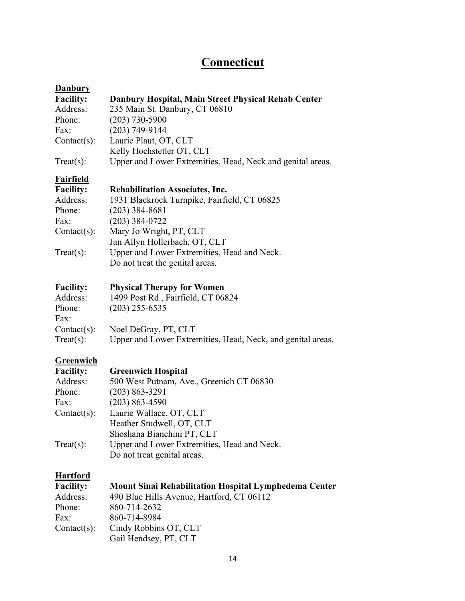## **Connecticut**

| <b>Danbury</b>       |                                                             |
|----------------------|-------------------------------------------------------------|
| <b>Facility:</b>     | Danbury Hospital, Main Street Physical Rehab Center         |
| Address:             | 235 Main St. Danbury, CT 06810                              |
| Phone:               | $(203) 730 - 5900$                                          |
| Fax:                 | $(203) 749 - 9144$                                          |
| $Context(s)$ :       | Laurie Plaut, OT, CLT                                       |
|                      | Kelly Hochstetler OT, CLT                                   |
| $Treat(s)$ :         | Upper and Lower Extremities, Head, Neck and genital areas.  |
| <b>Fairfield</b>     |                                                             |
| <b>Facility:</b>     | <b>Rehabilitation Associates, Inc.</b>                      |
| Address:             | 1931 Blackrock Turnpike, Fairfield, CT 06825                |
| Phone:               | $(203)$ 384-8681                                            |
| Fax:                 | $(203)$ 384-0722                                            |
| $Context(s)$ :       | Mary Jo Wright, PT, CLT                                     |
|                      | Jan Allyn Hollerbach, OT, CLT                               |
| $Treat(s)$ :         | Upper and Lower Extremities, Head and Neck.                 |
|                      | Do not treat the genital areas.                             |
| <b>Facility:</b>     | <b>Physical Therapy for Women</b>                           |
| Address:             | 1499 Post Rd., Fairfield, CT 06824                          |
| Phone:               | $(203)$ 255-6535                                            |
| Fax:                 |                                                             |
| $Context(s)$ :       | Noel DeGray, PT, CLT                                        |
| $Treat(s)$ :         | Upper and Lower Extremities, Head, Neck, and genital areas. |
| Greenwich            |                                                             |
| <b>Facility:</b>     | <b>Greenwich Hospital</b>                                   |
| Address <sup>.</sup> | 500 West Putnam Ave Greenich CT 06830                       |

| л аспиту.      | Ortenwith Hospital                          |
|----------------|---------------------------------------------|
| Address:       | 500 West Putnam, Ave., Greenich CT 06830    |
| Phone:         | $(203) 863 - 3291$                          |
| Fax:           | $(203) 863 - 4590$                          |
| $Context(s)$ : | Laurie Wallace, OT, CLT                     |
|                | Heather Studwell, OT, CLT                   |
|                | Shoshana Bianchini PT, CLT                  |
| Treat(s):      | Upper and Lower Extremities, Head and Neck. |
|                | Do not treat genital areas.                 |

#### **Hartford**

| <b>Facility:</b> | Mount Sinai Rehabilitation Hospital Lymphedema Center |
|------------------|-------------------------------------------------------|
| Address:         | 490 Blue Hills Avenue, Hartford, CT 06112             |
| Phone:           | 860-714-2632                                          |
| Fax:             | 860-714-8984                                          |
| $Context(s)$ :   | Cindy Robbins OT, CLT                                 |
|                  | Gail Hendsey, PT, CLT                                 |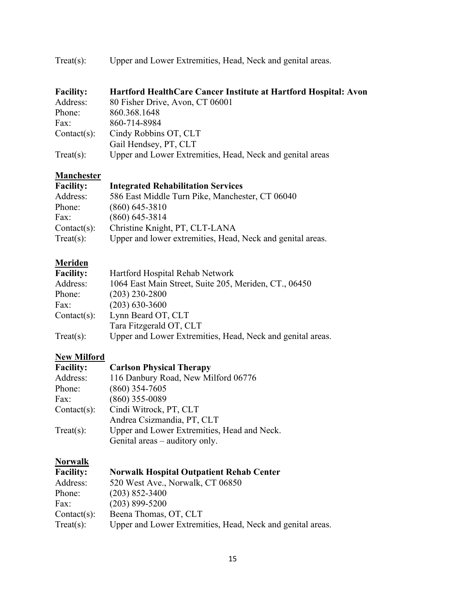| Treat(s): | Upper and Lower Extremities, Head, Neck and genital areas. |  |
|-----------|------------------------------------------------------------|--|
|           |                                                            |  |

| <b>Facility:</b> | Hartford HealthCare Cancer Institute at Hartford Hospital: Avon |
|------------------|-----------------------------------------------------------------|
| Address:         | 80 Fisher Drive, Avon, CT 06001                                 |
| Phone:           | 860.368.1648                                                    |
| Fax:             | 860-714-8984                                                    |
| $Context(s)$ :   | Cindy Robbins OT, CLT                                           |
|                  | Gail Hendsey, PT, CLT                                           |
| $Treat(s)$ :     | Upper and Lower Extremities, Head, Neck and genital areas       |

#### **Manchester**

| <b>Facility:</b> | <b>Integrated Rehabilitation Services</b>                  |
|------------------|------------------------------------------------------------|
| Address:         | 586 East Middle Turn Pike, Manchester, CT 06040            |
| Phone:           | $(860)$ 645-3810                                           |
| Fax:             | $(860)$ 645-3814                                           |
| $Context(s)$ :   | Christine Knight, PT, CLT-LANA                             |
| Treat(s):        | Upper and lower extremities, Head, Neck and genital areas. |

#### **Meriden**

| <b>Facility:</b> | Hartford Hospital Rehab Network                            |
|------------------|------------------------------------------------------------|
| Address:         | 1064 East Main Street, Suite 205, Meriden, CT., 06450      |
| Phone:           | $(203)$ 230-2800                                           |
| Fax:             | $(203)$ 630-3600                                           |
| $Context(s)$ :   | Lynn Beard OT, CLT                                         |
|                  | Tara Fitzgerald OT, CLT                                    |
| Treat(s):        | Upper and Lower Extremities, Head, Neck and genital areas. |

## **New Milford**

| <b>Facility:</b> | <b>Carlson Physical Therapy</b>             |
|------------------|---------------------------------------------|
| Address:         | 116 Danbury Road, New Milford 06776         |
| Phone:           | $(860)$ 354-7605                            |
| Fax:             | $(860)$ 355-0089                            |
| $Context(s)$ :   | Cindi Witrock, PT, CLT                      |
|                  | Andrea Csizmandia, PT, CLT                  |
| $Treat(s)$ :     | Upper and Lower Extremities, Head and Neck. |
|                  | Genital areas – auditory only.              |

## **Norwalk**

| <b>Facility:</b> | <b>Norwalk Hospital Outpatient Rehab Center</b>            |
|------------------|------------------------------------------------------------|
| Address:         | 520 West Ave., Norwalk, CT 06850                           |
| Phone:           | $(203)$ 852-3400                                           |
| Fax:             | $(203)$ 899-5200                                           |
| $Context(s)$ :   | Beena Thomas, OT, CLT                                      |
| Treat(s):        | Upper and Lower Extremities, Head, Neck and genital areas. |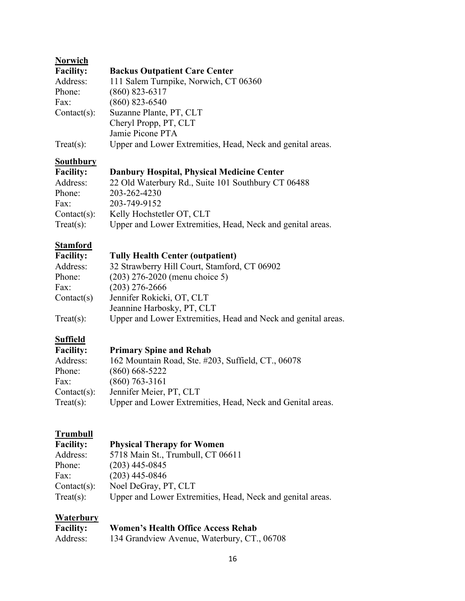| <b>Norwich</b>   |                                                            |
|------------------|------------------------------------------------------------|
| <b>Facility:</b> | <b>Backus Outpatient Care Center</b>                       |
| Address:         | 111 Salem Turnpike, Norwich, CT 06360                      |
| Phone:           | $(860)$ 823-6317                                           |
| Fax:             | $(860)$ 823-6540                                           |
| $Context(s)$ :   | Suzanne Plante, PT, CLT                                    |
|                  | Cheryl Propp, PT, CLT                                      |
|                  | Jamie Picone PTA                                           |
| Treat(s):        | Upper and Lower Extremities, Head, Neck and genital areas. |

#### **Southbury**

| <b>Facility:</b> | Danbury Hospital, Physical Medicine Center                 |
|------------------|------------------------------------------------------------|
| Address:         | 22 Old Waterbury Rd., Suite 101 Southbury CT 06488         |
| Phone:           | 203-262-4230                                               |
| Fax:             | 203-749-9152                                               |
| $Context(s)$ :   | Kelly Hochstetler OT, CLT                                  |
| $Treat(s)$ :     | Upper and Lower Extremities, Head, Neck and genital areas. |

# **Stamford**<br>Facility:

#### **Facility: Tully Health Center (outpatient)**

| 32 Strawberry Hill Court, Stamford, CT 06902                  |
|---------------------------------------------------------------|
| $(203)$ 276-2020 (menu choice 5)                              |
| $(203)$ 276-2666                                              |
| Jennifer Rokicki, OT, CLT                                     |
| Jeannine Harbosky, PT, CLT                                    |
| Upper and Lower Extremities, Head and Neck and genital areas. |
|                                                               |

#### **Suffield**

| <b>Facility:</b> | <b>Primary Spine and Rehab</b>                             |
|------------------|------------------------------------------------------------|
| Address:         | 162 Mountain Road, Ste. #203, Suffield, CT., 06078         |
| Phone:           | $(860) 668 - 5222$                                         |
| Fax:             | $(860)$ 763-3161                                           |
| $Context(s)$ :   | Jennifer Meier, PT, CLT                                    |
| Treat(s):        | Upper and Lower Extremities, Head, Neck and Genital areas. |

# **Trumbull**<br>Facility:

#### **Facility: Physical Therapy for Women**

|                | $\mathbf{r}$ $\mathbf{r}$ $\mathbf{r}$ $\mathbf{r}$ $\mathbf{r}$ $\mathbf{r}$ $\mathbf{r}$ $\mathbf{r}$ $\mathbf{r}$ $\mathbf{r}$ $\mathbf{r}$ $\mathbf{r}$ $\mathbf{r}$ $\mathbf{r}$ $\mathbf{r}$ $\mathbf{r}$ $\mathbf{r}$ $\mathbf{r}$ $\mathbf{r}$ $\mathbf{r}$ $\mathbf{r}$ $\mathbf{r}$ $\mathbf{r}$ $\mathbf{r}$ $\mathbf{$ |
|----------------|------------------------------------------------------------------------------------------------------------------------------------------------------------------------------------------------------------------------------------------------------------------------------------------------------------------------------------|
| Address:       | 5718 Main St., Trumbull, CT 06611                                                                                                                                                                                                                                                                                                  |
| Phone:         | $(203)$ 445-0845                                                                                                                                                                                                                                                                                                                   |
| Fax:           | $(203)$ 445-0846                                                                                                                                                                                                                                                                                                                   |
| $Context(s)$ : | Noel DeGray, PT, CLT                                                                                                                                                                                                                                                                                                               |
| Treat(s):      | Upper and Lower Extremities, Head, Neck and genital areas.                                                                                                                                                                                                                                                                         |
|                |                                                                                                                                                                                                                                                                                                                                    |

#### **Waterbury**

| <b>Facility:</b> | <b>Women's Health Office Access Rehab</b>   |
|------------------|---------------------------------------------|
| Address:         | 134 Grandview Avenue, Waterbury, CT., 06708 |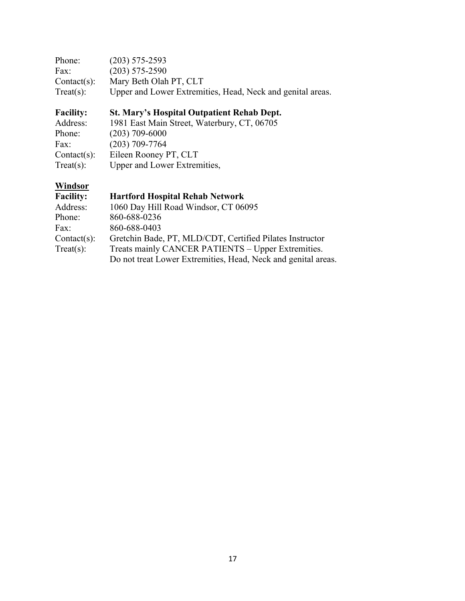| Phone:         | $(203)$ 575-2593                                           |
|----------------|------------------------------------------------------------|
| Fax:           | $(203)$ 575-2590                                           |
| $Context(s)$ : | Mary Beth Olah PT, CLT                                     |
| Treat(s):      | Upper and Lower Extremities, Head, Neck and genital areas. |

## **Facility: St. Mary's Hospital Outpatient Rehab Dept.**

| 1981 East Main Street, Waterbury, CT, 06705 |
|---------------------------------------------|
| $(203)$ 709-6000                            |
| $(203)$ 709-7764                            |
| Eileen Rooney PT, CLT                       |
| Upper and Lower Extremities,                |
|                                             |

## **Windsor**

| <b>Facility:</b> | <b>Hartford Hospital Rehab Network</b>                        |
|------------------|---------------------------------------------------------------|
| Address:         | 1060 Day Hill Road Windsor, CT 06095                          |
| Phone:           | 860-688-0236                                                  |
| Fax:             | 860-688-0403                                                  |
| $Context(s)$ :   | Gretchin Bade, PT, MLD/CDT, Certified Pilates Instructor      |
| Treat(s):        | Treats mainly CANCER PATIENTS – Upper Extremities.            |
|                  | Do not treat Lower Extremities, Head, Neck and genital areas. |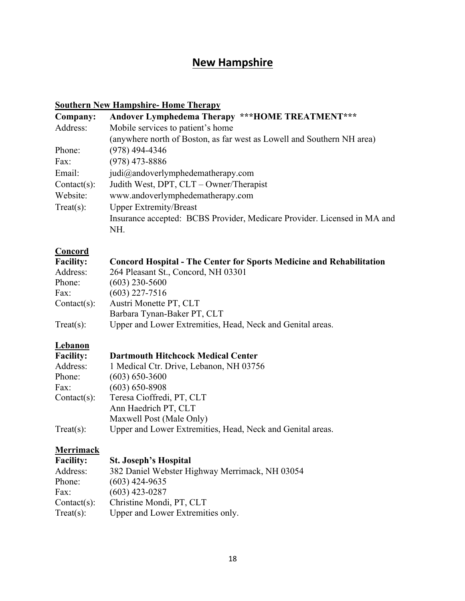## **New Hampshire**

#### **Southern New Hampshire- Home Therapy**

| Company:                                      | Andover Lymphedema Therapy ***HOME TREATMENT***                             |
|-----------------------------------------------|-----------------------------------------------------------------------------|
| Address:                                      | Mobile services to patient's home                                           |
|                                               | (anywhere north of Boston, as far west as Lowell and Southern NH area)      |
| Phone:                                        | $(978)$ 494-4346                                                            |
| Fax:                                          | $(978)$ 473-8886                                                            |
| Email:                                        | judi@andoverlymphedematherapy.com                                           |
| $Context(s)$ :                                | Judith West, DPT, CLT - Owner/Therapist                                     |
| Website:                                      | www.andoverlymphedematherapy.com                                            |
| <b>Upper Extremity/Breast</b><br>$Treat(s)$ : |                                                                             |
|                                               | Insurance accepted: BCBS Provider, Medicare Provider. Licensed in MA and    |
|                                               | NH.                                                                         |
| <b>Concord</b>                                |                                                                             |
| <b>Facility:</b>                              | <b>Concord Hospital - The Center for Sports Medicine and Rehabilitation</b> |
| Address:                                      | 264 Pleasant St., Concord, NH 03301                                         |
| Phone:                                        | $(603)$ 230-5600                                                            |
| Fax:                                          | $(603)$ 227-7516                                                            |
| $Context(s)$ :                                | Austri Monette PT, CLT                                                      |
|                                               | Barbara Tynan-Baker PT, CLT                                                 |
| $Treat(s)$ :                                  | Upper and Lower Extremities, Head, Neck and Genital areas.                  |
| <b>Lebanon</b>                                |                                                                             |
| <b>Facility:</b>                              | <b>Dartmouth Hitchcock Medical Center</b>                                   |
| Address:                                      | 1 Medical Ctr. Drive, Lebanon, NH 03756                                     |
| Phone:                                        | $(603) 650 - 3600$                                                          |
| Fax:                                          | $(603) 650 - 8908$                                                          |
| $Context(s)$ :                                | Teresa Cioffredi, PT, CLT                                                   |
|                                               | Ann Haedrich PT, CLT                                                        |
|                                               | Maxwell Post (Male Only)                                                    |
| $Treat(s)$ :                                  | Upper and Lower Extremities, Head, Neck and Genital areas.                  |
| Morrimaalz                                    |                                                                             |

#### **Merrimack**

| <b>Facility:</b> | <b>St. Joseph's Hospital</b>                   |
|------------------|------------------------------------------------|
| Address:         | 382 Daniel Webster Highway Merrimack, NH 03054 |
| Phone:           | $(603)$ 424-9635                               |
| Fax:             | $(603)$ 423-0287                               |
| $Context(s)$ :   | Christine Mondi, PT, CLT                       |
| Treat(s):        | Upper and Lower Extremities only.              |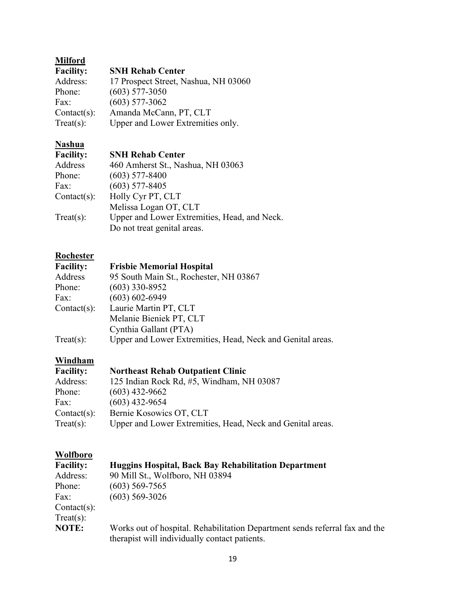## **Milford**

| <b>Facility:</b> | <b>SNH Rehab Center</b>              |
|------------------|--------------------------------------|
| Address:         | 17 Prospect Street, Nashua, NH 03060 |
| Phone:           | $(603)$ 577-3050                     |
| Fax:             | $(603)$ 577-3062                     |
| $Context(s)$ :   | Amanda McCann, PT, CLT               |
| Treat(s):        | Upper and Lower Extremities only.    |

## **Nashua**

#### **SNH Rehab Center**

| т асшиу.       | эгин кенар сепен                             |
|----------------|----------------------------------------------|
| Address        | 460 Amherst St., Nashua, NH 03063            |
| Phone:         | $(603)$ 577-8400                             |
| Fax:           | $(603)$ 577-8405                             |
| $Context(s)$ : | Holly Cyr PT, CLT                            |
|                | Melissa Logan OT, CLT                        |
| Treat(s):      | Upper and Lower Extremities, Head, and Neck. |
|                | Do not treat genital areas.                  |
|                |                                              |

# **Rochester**<br>**Facility:**

#### **Facility: Frisbie Memorial Hospital**

| 95 South Main St., Rochester, NH 03867                     |
|------------------------------------------------------------|
| $(603)$ 330-8952                                           |
| $(603) 602 - 6949$                                         |
| Laurie Martin PT, CLT                                      |
| Melanie Bieniek PT, CLT                                    |
| Cynthia Gallant (PTA)                                      |
| Upper and Lower Extremities, Head, Neck and Genital areas. |
|                                                            |

#### **Windham**

| <b>Facility:</b> | <b>Northeast Rehab Outpatient Clinic</b>                   |
|------------------|------------------------------------------------------------|
| Address:         | 125 Indian Rock Rd, #5, Windham, NH 03087                  |
| Phone:           | $(603)$ 432-9662                                           |
| Fax:             | $(603)$ 432-9654                                           |
| $Context(s)$ :   | Bernie Kosowics OT, CLT                                    |
| Treat(s):        | Upper and Lower Extremities, Head, Neck and Genital areas. |

#### **Wolfboro**

| <b>Facility:</b> | <b>Huggins Hospital, Back Bay Rehabilitation Department</b>                 |
|------------------|-----------------------------------------------------------------------------|
| Address:         | 90 Mill St., Wolfboro, NH 03894                                             |
| Phone:           | $(603)$ 569-7565                                                            |
| Fax:             | $(603)$ 569-3026                                                            |
| $Context(s)$ :   |                                                                             |
| Treat(s):        |                                                                             |
| <b>NOTE:</b>     | Works out of hospital. Rehabilitation Department sends referral fax and the |
|                  | therapist will individually contact patients.                               |
|                  |                                                                             |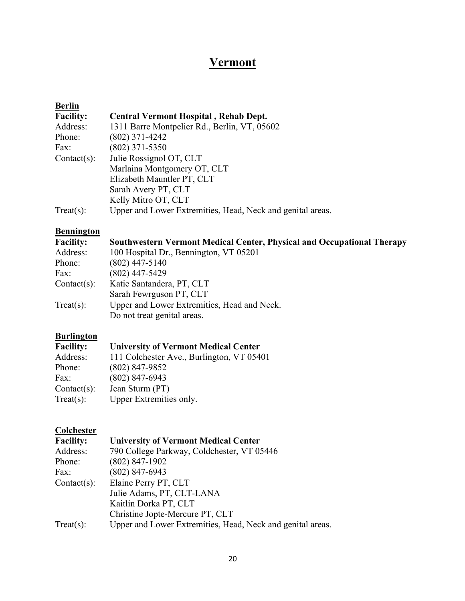## **Vermont**

| <b>Berlin</b>    |                                                            |
|------------------|------------------------------------------------------------|
| <b>Facility:</b> | <b>Central Vermont Hospital, Rehab Dept.</b>               |
| Address:         | 1311 Barre Montpelier Rd., Berlin, VT, 05602               |
| Phone:           | $(802)$ 371-4242                                           |
| Fax:             | $(802)$ 371-5350                                           |
| $Context(s)$ :   | Julie Rossignol OT, CLT                                    |
|                  | Marlaina Montgomery OT, CLT                                |
|                  | Elizabeth Mauntler PT, CLT                                 |
|                  | Sarah Avery PT, CLT                                        |
|                  | Kelly Mitro OT, CLT                                        |
| $Treat(s)$ :     | Upper and Lower Extremities, Head, Neck and genital areas. |
|                  |                                                            |

#### **Bennington**

| <b>Southwestern Vermont Medical Center, Physical and Occupational Therapy</b> |
|-------------------------------------------------------------------------------|
| 100 Hospital Dr., Bennington, VT 05201                                        |
| $(802)$ 447-5140                                                              |
| $(802)$ 447-5429                                                              |
| Katie Santandera, PT, CLT                                                     |
| Sarah Fewrguson PT, CLT                                                       |
| Upper and Lower Extremities, Head and Neck.                                   |
| Do not treat genital areas.                                                   |
|                                                                               |

# **Burlington**

#### **Facility: University of Vermont Medical Center**

| Address:       | 111 Colchester Ave., Burlington, VT 05401 |
|----------------|-------------------------------------------|
| Phone:         | $(802)$ 847-9852                          |
| Fax:           | $(802)$ 847-6943                          |
| $Context(s)$ : | Jean Sturm (PT)                           |
| Treat(s):      | Upper Extremities only.                   |
|                |                                           |

#### **Colchester**

| <b>Facility:</b> | <b>University of Vermont Medical Center</b>                |
|------------------|------------------------------------------------------------|
| Address:         | 790 College Parkway, Coldchester, VT 05446                 |
| Phone:           | $(802)$ 847-1902                                           |
| Fax:             | $(802)$ 847-6943                                           |
| $Context(s)$ :   | Elaine Perry PT, CLT                                       |
|                  | Julie Adams, PT, CLT-LANA                                  |
|                  | Kaitlin Dorka PT, CLT                                      |
|                  | Christine Jopte-Mercure PT, CLT                            |
| Treat(s):        | Upper and Lower Extremities, Head, Neck and genital areas. |